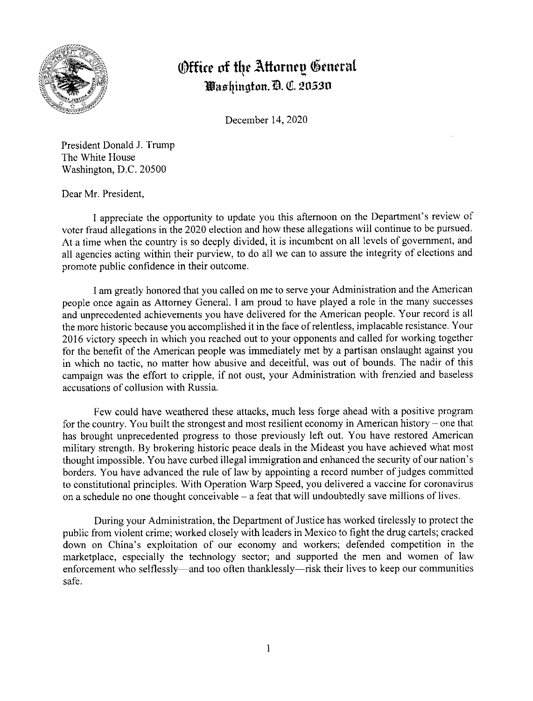

## *<u>@ffice of the Attorney General</u>* **1'ct1t fiingfon. m. QI. 20,530**

December 14, 2020

President Donald J. Trump The White House Washington, D.C. 20500

Dear Mr. President,

I appreciate the opportunity to update you this afternoon on the Department's review of voter fraud allegations in the 2020 election and how these allegations will continue to be pursued. At a time when the country is so deeply divided, it is incumbent on all levels of government, and all agencies acting within their purview, to do all we can to assure the integrity of elections and promote public confidence in their outcome.

I am greatly honored that you called on me to serve your Administration and the American people once again as Attorney General. I am proud to have played a role in the many successes and unprecedented achievements you have delivered for the American people. Your record is all the more historic because you accomplished it in the face of relentless, implacable resistance. Your 2016 victory speech in which you reached out to your opponents and called for working together for the benefit of the American people was immediately met by a partisan onslaught against you in which no tactic, no matter how abusive and deceitful, was out of bounds. The nadir of this campaign was the effort to cripple, if not oust, your Administration with frenzied and baseless accusations of collusion with Russia.

Few could have weathered these attacks, much less forge ahead with a positive program for the country. You built the strongest and most resilient economy in American history – one that has brought unprecedented progress to those previously left out. You have restored American military strength. By brokering historic peace deals in the Mideast you have achieved what most thought impossible. You have curbed illegal immigration and enhanced the security of our nation's borders. You have advanced the rule of law by appointing a record number of judges committed to constitutional principles. With Operation Warp Speed, you delivered a vaccine for coronavirus on a schedule no one thought conceivable - a feat that will undoubtedly save millions of lives.

During your Administration, the Department of Justice has worked tirelessly to protect the public from violent crime; worked closely with leaders in Mexico to fight the drug cartels; cracked down on China's exploitation of our economy and workers; defended competition in the marketplace, especially the technology sector; and supported the men and women of law enforcement who selflessly—and too often thanklessly—risk their lives to keep our communities safe.